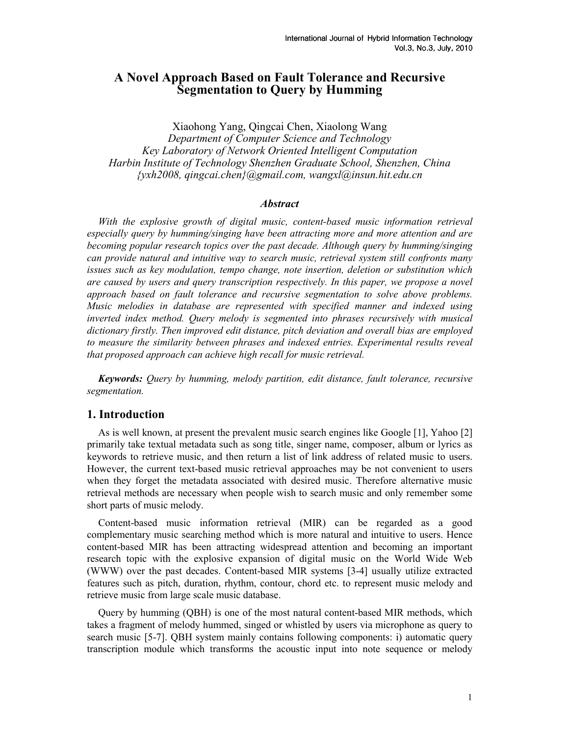# A Novel Approach Based on Fault Tolerance and Recursive Segmentation to Query by Humming

Xiaohong Yang, Qingcai Chen, Xiaolong Wang Department of Computer Science and Technology Key Laboratory of Network Oriented Intelligent Computation Harbin Institute of Technology Shenzhen Graduate School, Shenzhen, China {yxh2008, qingcai.chen}@gmail.com, wangxl@insun.hit.edu.cn

#### **Abstract**

With the explosive growth of digital music, content-based music information retrieval especially query by humming/singing have been attracting more and more attention and are becoming popular research topics over the past decade. Although query by humming/singing can provide natural and intuitive way to search music, retrieval system still confronts many issues such as key modulation, tempo change, note insertion, deletion or substitution which are caused by users and query transcription respectively. In this paper, we propose a novel approach based on fault tolerance and recursive segmentation to solve above problems. Music melodies in database are represented with specified manner and indexed using inverted index method. Query melody is segmented into phrases recursively with musical dictionary firstly. Then improved edit distance, pitch deviation and overall bias are employed to measure the similarity between phrases and indexed entries. Experimental results reveal that proposed approach can achieve high recall for music retrieval.

Keywords: Query by humming, melody partition, edit distance, fault tolerance, recursive segmentation.

## 1. Introduction

As is well known, at present the prevalent music search engines like Google [1], Yahoo [2] primarily take textual metadata such as song title, singer name, composer, album or lyrics as keywords to retrieve music, and then return a list of link address of related music to users. However, the current text-based music retrieval approaches may be not convenient to users when they forget the metadata associated with desired music. Therefore alternative music retrieval methods are necessary when people wish to search music and only remember some short parts of music melody.

Content-based music information retrieval (MIR) can be regarded as a good complementary music searching method which is more natural and intuitive to users. Hence content-based MIR has been attracting widespread attention and becoming an important research topic with the explosive expansion of digital music on the World Wide Web (WWW) over the past decades. Content-based MIR systems [3-4] usually utilize extracted features such as pitch, duration, rhythm, contour, chord etc. to represent music melody and retrieve music from large scale music database.

Query by humming (QBH) is one of the most natural content-based MIR methods, which takes a fragment of melody hummed, singed or whistled by users via microphone as query to search music [5-7]. QBH system mainly contains following components: i) automatic query transcription module which transforms the acoustic input into note sequence or melody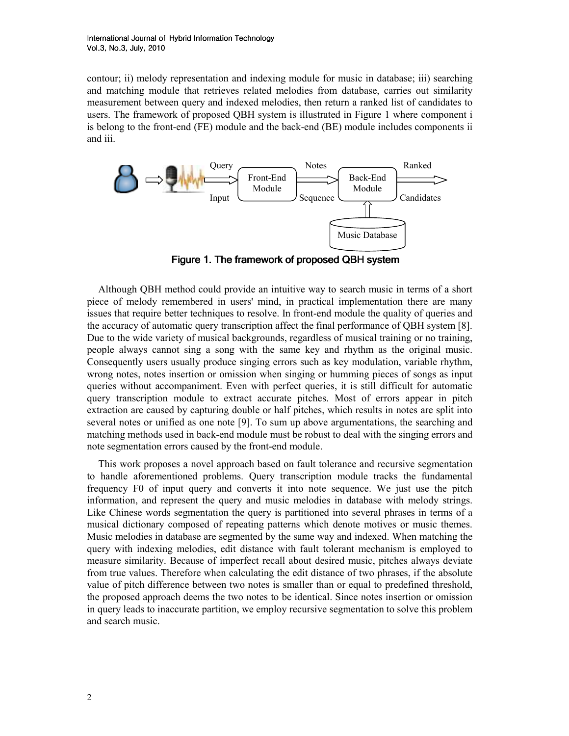contour; ii) melody representation and indexing module for music in database; iii) searching and matching module that retrieves related melodies from database, carries out similarity measurement between query and indexed melodies, then return a ranked list of candidates to users. The framework of proposed QBH system is illustrated in Figure 1 where component i is belong to the front-end (FE) module and the back-end (BE) module includes components ii and iii.



Figure 1. The framework of proposed QBH system

Although QBH method could provide an intuitive way to search music in terms of a short piece of melody remembered in users' mind, in practical implementation there are many issues that require better techniques to resolve. In front-end module the quality of queries and the accuracy of automatic query transcription affect the final performance of QBH system [8]. Due to the wide variety of musical backgrounds, regardless of musical training or no training, people always cannot sing a song with the same key and rhythm as the original music. Consequently users usually produce singing errors such as key modulation, variable rhythm, wrong notes, notes insertion or omission when singing or humming pieces of songs as input queries without accompaniment. Even with perfect queries, it is still difficult for automatic query transcription module to extract accurate pitches. Most of errors appear in pitch extraction are caused by capturing double or half pitches, which results in notes are split into several notes or unified as one note [9]. To sum up above argumentations, the searching and matching methods used in back-end module must be robust to deal with the singing errors and note segmentation errors caused by the front-end module.

This work proposes a novel approach based on fault tolerance and recursive segmentation to handle aforementioned problems. Query transcription module tracks the fundamental frequency F0 of input query and converts it into note sequence. We just use the pitch information, and represent the query and music melodies in database with melody strings. Like Chinese words segmentation the query is partitioned into several phrases in terms of a musical dictionary composed of repeating patterns which denote motives or music themes. Music melodies in database are segmented by the same way and indexed. When matching the query with indexing melodies, edit distance with fault tolerant mechanism is employed to measure similarity. Because of imperfect recall about desired music, pitches always deviate from true values. Therefore when calculating the edit distance of two phrases, if the absolute value of pitch difference between two notes is smaller than or equal to predefined threshold, the proposed approach deems the two notes to be identical. Since notes insertion or omission in query leads to inaccurate partition, we employ recursive segmentation to solve this problem and search music.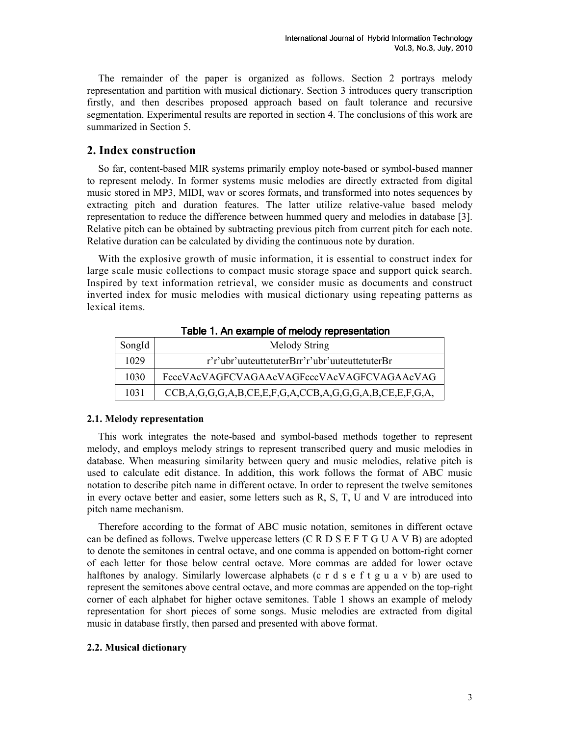The remainder of the paper is organized as follows. Section 2 portrays melody representation and partition with musical dictionary. Section 3 introduces query transcription firstly, and then describes proposed approach based on fault tolerance and recursive segmentation. Experimental results are reported in section 4. The conclusions of this work are summarized in Section 5.

## 2. Index construction

So far, content-based MIR systems primarily employ note-based or symbol-based manner to represent melody. In former systems music melodies are directly extracted from digital music stored in MP3, MIDI, wav or scores formats, and transformed into notes sequences by extracting pitch and duration features. The latter utilize relative-value based melody representation to reduce the difference between hummed query and melodies in database [3]. Relative pitch can be obtained by subtracting previous pitch from current pitch for each note. Relative duration can be calculated by dividing the continuous note by duration.

With the explosive growth of music information, it is essential to construct index for large scale music collections to compact music storage space and support quick search. Inspired by text information retrieval, we consider music as documents and construct inverted index for music melodies with musical dictionary using repeating patterns as lexical items.

| SongId | Melody String                                        |
|--------|------------------------------------------------------|
| 1029   | r'r'ubr'uuteuttetuterBrr'r'ubr'uuteuttetuterBr       |
| 1030   | FeeeVAcVAGFCVAGAAcVAGFeeeVAcVAGFCVAGAAcVAG           |
| 1031   | CCB,A,G,G,A,B,CE,E,F,G,A,CCB,A,G,G,G,A,B,CE,E,F,G,A, |

Table 1. An example of melody representation

## 2.1. Melody representation

This work integrates the note-based and symbol-based methods together to represent melody, and employs melody strings to represent transcribed query and music melodies in database. When measuring similarity between query and music melodies, relative pitch is used to calculate edit distance. In addition, this work follows the format of ABC music notation to describe pitch name in different octave. In order to represent the twelve semitones in every octave better and easier, some letters such as R, S, T, U and V are introduced into pitch name mechanism.

Therefore according to the format of ABC music notation, semitones in different octave can be defined as follows. Twelve uppercase letters (C R D S  $E$  F T G U A V B) are adopted to denote the semitones in central octave, and one comma is appended on bottom-right corner of each letter for those below central octave. More commas are added for lower octave halftones by analogy. Similarly lowercase alphabets (c r d s e f t g u a v b) are used to represent the semitones above central octave, and more commas are appended on the top-right corner of each alphabet for higher octave semitones. Table 1 shows an example of melody representation for short pieces of some songs. Music melodies are extracted from digital music in database firstly, then parsed and presented with above format.

## 2.2. Musical dictionary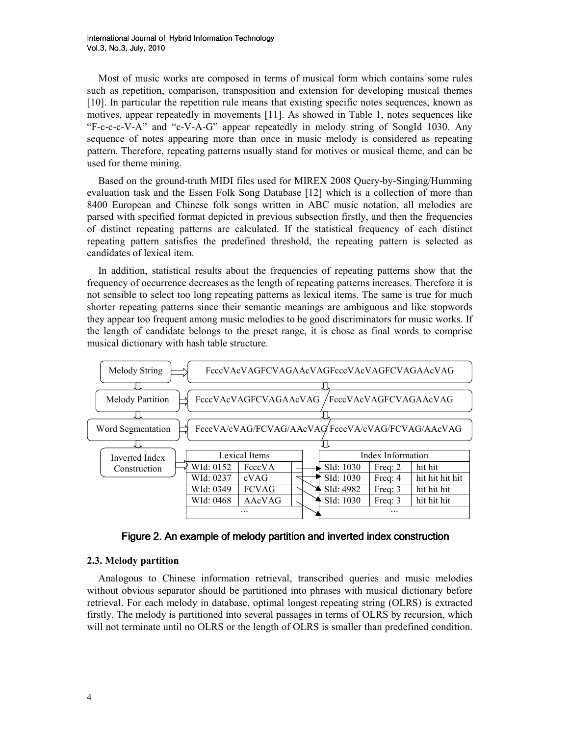Most of music works are composed in terms of musical form which contains some rules such as repetition, comparison, transposition and extension for developing musical themes [10]. In particular the repetition rule means that existing specific notes sequences, known as motives, appear repeatedly in movements [11]. As showed in Table 1, notes sequences like "F-c-c-c-V-A" and "c-V-A-G" appear repeatedly in melody string of SongId 1030. Any sequence of notes appearing more than once in music melody is considered as repeating pattern. Therefore, repeating patterns usually stand for motives or musical theme, and can be used for theme mining.

Based on the ground-truth MIDI files used for MIREX 2008 Query-by-Singing/Humming evaluation task and the Essen Folk Song Database [12] which is a collection of more than 8400 European and Chinese folk songs written in ABC music notation, all melodies are parsed with specified format depicted in previous subsection firstly, and then the frequencies of distinct repeating patterns are calculated. If the statistical frequency of each distinct repeating pattern satisfies the predefined threshold, the repeating pattern is selected as candidates of lexical item.

In addition, statistical results about the frequencies of repeating patterns show that the frequency of occurrence decreases as the length of repeating patterns increases. Therefore it is not sensible to select too long repeating patterns as lexical items. The same is true for much shorter repeating patterns since their semantic meanings are ambiguous and like stopwords they appear too frequent among music melodies to be good discriminators for music works. If the length of candidate belongs to the preset range, it is chose as final words to comprise musical dictionary with hash table structure.



Figure 2. An example of melody partition and inverted index construction

## 2.3. Melody partition

Analogous to Chinese information retrieval, transcribed queries and music melodies without obvious separator should be partitioned into phrases with musical dictionary before retrieval. For each melody in database, optimal longest repeating string (OLRS) is extracted firstly. The melody is partitioned into several passages in terms of OLRS by recursion, which will not terminate until no OLRS or the length of OLRS is smaller than predefined condition.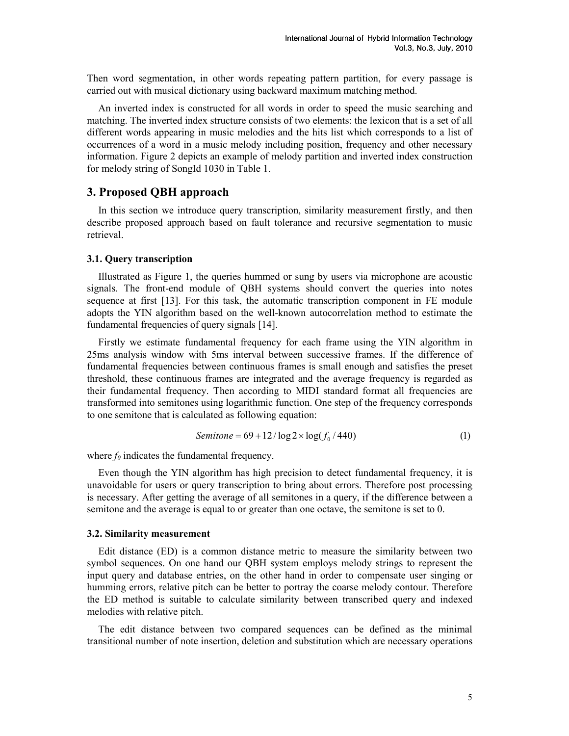Then word segmentation, in other words repeating pattern partition, for every passage is carried out with musical dictionary using backward maximum matching method.

An inverted index is constructed for all words in order to speed the music searching and matching. The inverted index structure consists of two elements: the lexicon that is a set of all different words appearing in music melodies and the hits list which corresponds to a list of occurrences of a word in a music melody including position, frequency and other necessary information. Figure 2 depicts an example of melody partition and inverted index construction for melody string of SongId 1030 in Table 1.

# 3. Proposed QBH approach

In this section we introduce query transcription, similarity measurement firstly, and then describe proposed approach based on fault tolerance and recursive segmentation to music retrieval.

## 3.1. Query transcription

Illustrated as Figure 1, the queries hummed or sung by users via microphone are acoustic signals. The front-end module of QBH systems should convert the queries into notes sequence at first [13]. For this task, the automatic transcription component in FE module adopts the YIN algorithm based on the well-known autocorrelation method to estimate the fundamental frequencies of query signals [14].

Firstly we estimate fundamental frequency for each frame using the YIN algorithm in 25ms analysis window with 5ms interval between successive frames. If the difference of fundamental frequencies between continuous frames is small enough and satisfies the preset threshold, these continuous frames are integrated and the average frequency is regarded as their fundamental frequency. Then according to MIDI standard format all frequencies are transformed into semitones using logarithmic function. One step of the frequency corresponds to one semitone that is calculated as following equation:

*Semitone* = 69 + 12/
$$
\log 2 \times \log(f_0/440)
$$
 (1)

where  $f_0$  indicates the fundamental frequency.

Even though the YIN algorithm has high precision to detect fundamental frequency, it is unavoidable for users or query transcription to bring about errors. Therefore post processing is necessary. After getting the average of all semitones in a query, if the difference between a semitone and the average is equal to or greater than one octave, the semitone is set to 0.

#### 3.2. Similarity measurement

Edit distance (ED) is a common distance metric to measure the similarity between two symbol sequences. On one hand our QBH system employs melody strings to represent the input query and database entries, on the other hand in order to compensate user singing or humming errors, relative pitch can be better to portray the coarse melody contour. Therefore the ED method is suitable to calculate similarity between transcribed query and indexed melodies with relative pitch.

The edit distance between two compared sequences can be defined as the minimal transitional number of note insertion, deletion and substitution which are necessary operations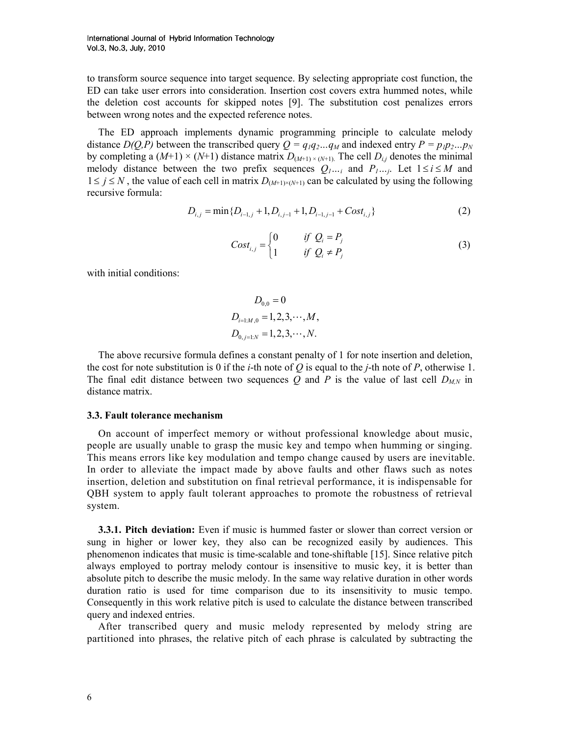to transform source sequence into target sequence. By selecting appropriate cost function, the ED can take user errors into consideration. Insertion cost covers extra hummed notes, while the deletion cost accounts for skipped notes [9]. The substitution cost penalizes errors between wrong notes and the expected reference notes.

The ED approach implements dynamic programming principle to calculate melody distance  $D(Q, P)$  between the transcribed query  $Q = q_1 q_2 ... q_M$  and indexed entry  $P = p_1 p_2 ... p_N$ by completing a  $(M+1) \times (N+1)$  distance matrix  $D_{(M+1) \times (N+1)}$ . The cell  $D_{i,j}$  denotes the minimal melody distance between the two prefix sequences  $Q_{i \cdots i}$  and  $P_{i \cdots j}$ . Let  $1 \le i \le M$  and  $1 \le j \le N$ , the value of each cell in matrix  $D_{(M+1)\times(N+1)}$  can be calculated by using the following recursive formula:

$$
D_{i,j} = \min\{D_{i-1,j} + 1, D_{i,j-1} + 1, D_{i-1,j-1} + Cost_{i,j}\}\
$$
 (2)

$$
Cost_{i,j} = \begin{cases} 0 & \text{if } Q_i = P_j \\ 1 & \text{if } Q_i \neq P_j \end{cases}
$$
 (3)

with initial conditions:

$$
D_{0,0} = 0
$$
  
\n
$$
D_{i=1:M,0} = 1,2,3,\cdots,M,
$$
  
\n
$$
D_{0,j=1:N} = 1,2,3,\cdots,N.
$$

The above recursive formula defines a constant penalty of 1 for note insertion and deletion, the cost for note substitution is 0 if the *i*-th note of  $Q$  is equal to the *j*-th note of  $P$ , otherwise 1. The final edit distance between two sequences Q and P is the value of last cell  $D_{MN}$  in distance matrix.

#### 3.3. Fault tolerance mechanism

On account of imperfect memory or without professional knowledge about music, people are usually unable to grasp the music key and tempo when humming or singing. This means errors like key modulation and tempo change caused by users are inevitable. In order to alleviate the impact made by above faults and other flaws such as notes insertion, deletion and substitution on final retrieval performance, it is indispensable for QBH system to apply fault tolerant approaches to promote the robustness of retrieval system.

3.3.1. Pitch deviation: Even if music is hummed faster or slower than correct version or sung in higher or lower key, they also can be recognized easily by audiences. This phenomenon indicates that music is time-scalable and tone-shiftable [15]. Since relative pitch always employed to portray melody contour is insensitive to music key, it is better than absolute pitch to describe the music melody. In the same way relative duration in other words duration ratio is used for time comparison due to its insensitivity to music tempo. Consequently in this work relative pitch is used to calculate the distance between transcribed query and indexed entries.

After transcribed query and music melody represented by melody string are partitioned into phrases, the relative pitch of each phrase is calculated by subtracting the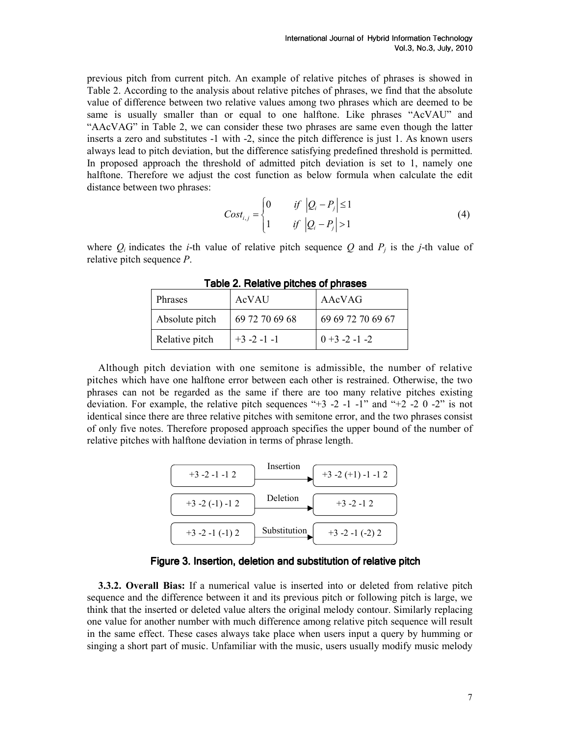previous pitch from current pitch. An example of relative pitches of phrases is showed in Table 2. According to the analysis about relative pitches of phrases, we find that the absolute value of difference between two relative values among two phrases which are deemed to be same is usually smaller than or equal to one halftone. Like phrases "AcVAU" and "AAcVAG" in Table 2, we can consider these two phrases are same even though the latter inserts a zero and substitutes -1 with -2, since the pitch difference is just 1. As known users always lead to pitch deviation, but the difference satisfying predefined threshold is permitted. In proposed approach the threshold of admitted pitch deviation is set to 1, namely one halftone. Therefore we adjust the cost function as below formula when calculate the edit distance between two phrases:

$$
Cost_{i,j} = \begin{cases} 0 & \text{if } |Q_i - P_j| \le 1 \\ 1 & \text{if } |Q_i - P_j| > 1 \end{cases} \tag{4}
$$

where  $Q_i$  indicates the *i*-th value of relative pitch sequence Q and  $P_j$  is the *j*-th value of relative pitch sequence P.

| Phrases        | AcVAU          | AAcVAG              |  |  |  |
|----------------|----------------|---------------------|--|--|--|
| Absolute pitch | 69 72 70 69 68 | 69 69 72 70 69 67   |  |  |  |
| Relative pitch | $+3 -2 -1 -1$  | $0 + 3 - 2 - 1 - 2$ |  |  |  |

Table 2. Relative pitches of phrases

Although pitch deviation with one semitone is admissible, the number of relative pitches which have one halftone error between each other is restrained. Otherwise, the two phrases can not be regarded as the same if there are too many relative pitches existing deviation. For example, the relative pitch sequences " $+3$  -2 -1 -1" and " $+2$  -2 0 -2" is not identical since there are three relative pitches with semitone error, and the two phrases consist of only five notes. Therefore proposed approach specifies the upper bound of the number of relative pitches with halftone deviation in terms of phrase length.



Figure 3. Insertion, deletion and substitution of relative pitch

3.3.2. Overall Bias: If a numerical value is inserted into or deleted from relative pitch sequence and the difference between it and its previous pitch or following pitch is large, we think that the inserted or deleted value alters the original melody contour. Similarly replacing one value for another number with much difference among relative pitch sequence will result in the same effect. These cases always take place when users input a query by humming or singing a short part of music. Unfamiliar with the music, users usually modify music melody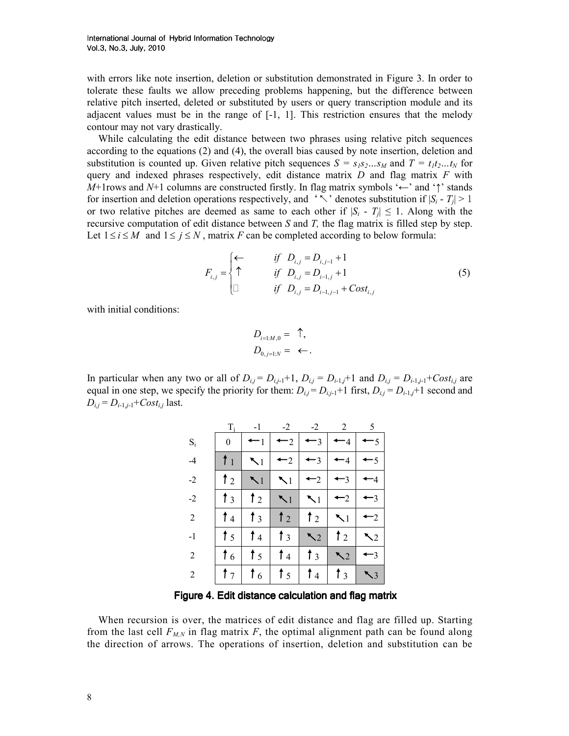International Journal of Hybrid Information Technology Vol.3, No.3, July, 2010

with errors like note insertion, deletion or substitution demonstrated in Figure 3. In order to tolerate these faults we allow preceding problems happening, but the difference between relative pitch inserted, deleted or substituted by users or query transcription module and its adjacent values must be in the range of [-1, 1]. This restriction ensures that the melody contour may not vary drastically.

While calculating the edit distance between two phrases using relative pitch sequences according to the equations (2) and (4), the overall bias caused by note insertion, deletion and substitution is counted up. Given relative pitch sequences  $S = s_1 s_2 ... s_M$  and  $T = t_1 t_2 ... t_N$  for query and indexed phrases respectively, edit distance matrix  $D$  and flag matrix  $F$  with  $M+1$ rows and  $N+1$  columns are constructed firstly. In flag matrix symbols '←' and '↑' stands for insertion and deletion operations respectively, and '↖' denotes substitution if  $|S_i - T_j| > 1$ or two relative pitches are deemed as same to each other if  $|S_i - T_j| \leq 1$ . Along with the recursive computation of edit distance between S and T, the flag matrix is filled step by step. Let  $1 \le i \le M$  and  $1 \le j \le N$ , matrix F can be completed according to below formula:

$$
F_{i,j} = \begin{cases} \leftarrow & \text{if } D_{i,j} = D_{i,j-1} + 1 \\ \uparrow & \text{if } D_{i,j} = D_{i-1,j} + 1 \\ \text{if } D_{i,j} = D_{i-1,j-1} + Cost_{i,j} \end{cases} \tag{5}
$$

with initial conditions:

$$
D_{i=1:M,0} = \uparrow,
$$
  

$$
D_{0,j=1:N} = \leftarrow.
$$

In particular when any two or all of  $D_{i,j} = D_{i,j+1}$ ,  $D_{i,j} = D_{i-1,j+1}$  and  $D_{i,j} = D_{i-1,j+1}$  + Cost<sub>i,j</sub> are equal in one step, we specify the priority for them:  $D_{i,j} = D_{i,j+1} + 1$  first,  $D_{i,j} = D_{i-1,j} + 1$  second and  $D_{i,j} = D_{i-1,j-1} + Cost_{i,j}$  last.

|                |                  |                  |                 |                     | 2               |                 |
|----------------|------------------|------------------|-----------------|---------------------|-----------------|-----------------|
| $S_i$          | $\boldsymbol{0}$ | $-1$             | $-2$            | $-3$                | $-4$            | $-5$            |
| $-4$           | $\mathbf{1}$     | $\mathcal{N}_1$  | $-2$            | $-3$                | $-4$            | $\leftarrow$    |
| $-2$           | ${1}_2$          | $\mathcal{N}_1$  | $\mathcal{N}_1$ | $-2$                | $\leftarrow$ 3  | $\leftarrow_4$  |
| $-2$           | $\mathbf{1}$ 3   | $\mathbf{1}_{2}$ | $\mathbb{Z}1$   | $\mathcal{N}_1$     | $-2$            | $\leftarrow$ 3  |
| $\overline{2}$ | 14               | $\mathbf{1}$ 3   | $\uparrow$ 2    | $\uparrow$ 2        | $\mathcal{N}_1$ | $\leftarrow$ 2  |
| $-1$           | $\uparrow$ 5     | $\uparrow$ 4     | $\mathbf{1}_3$  | $\mathcal{L}_2$     | $1^{\circ}$     | $\mathcal{L}_2$ |
| $\overline{2}$ | 6                | $\uparrow$ 5     | $\uparrow$ 4    | $\uparrow$ 3        | $\mathbb{Z}^2$  | $\leftarrow$ 3  |
| 2              | ד 1              | $\uparrow$ 6     | $\uparrow$ 5    | Ť<br>$\overline{4}$ | $\uparrow$ 3    | $\mathcal{N}$ 3 |

Figure 4. Edit distance calculation and flag matrix

When recursion is over, the matrices of edit distance and flag are filled up. Starting from the last cell  $F_{M,N}$  in flag matrix F, the optimal alignment path can be found along the direction of arrows. The operations of insertion, deletion and substitution can be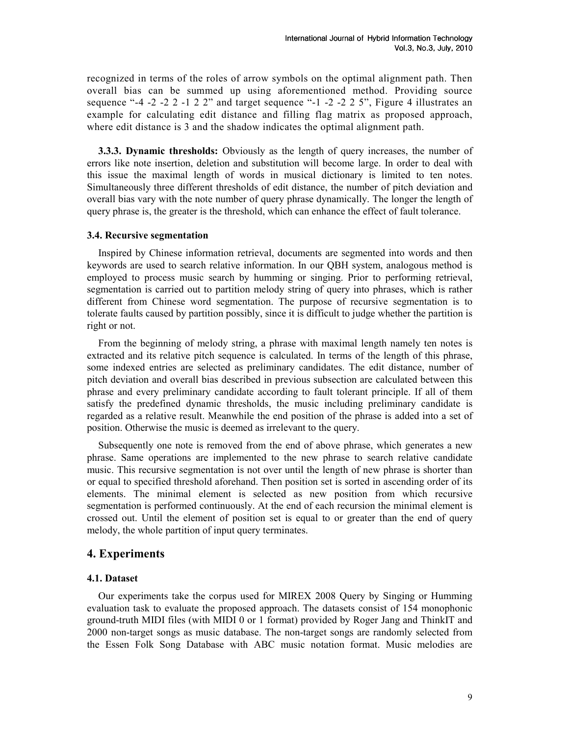recognized in terms of the roles of arrow symbols on the optimal alignment path. Then overall bias can be summed up using aforementioned method. Providing source sequence "-4 -2 -2 2 -1 2 2" and target sequence "-1 -2 -2 2 5", Figure 4 illustrates an example for calculating edit distance and filling flag matrix as proposed approach, where edit distance is 3 and the shadow indicates the optimal alignment path.

3.3.3. Dynamic thresholds: Obviously as the length of query increases, the number of errors like note insertion, deletion and substitution will become large. In order to deal with this issue the maximal length of words in musical dictionary is limited to ten notes. Simultaneously three different thresholds of edit distance, the number of pitch deviation and overall bias vary with the note number of query phrase dynamically. The longer the length of query phrase is, the greater is the threshold, which can enhance the effect of fault tolerance.

### 3.4. Recursive segmentation

Inspired by Chinese information retrieval, documents are segmented into words and then keywords are used to search relative information. In our QBH system, analogous method is employed to process music search by humming or singing. Prior to performing retrieval, segmentation is carried out to partition melody string of query into phrases, which is rather different from Chinese word segmentation. The purpose of recursive segmentation is to tolerate faults caused by partition possibly, since it is difficult to judge whether the partition is right or not.

From the beginning of melody string, a phrase with maximal length namely ten notes is extracted and its relative pitch sequence is calculated. In terms of the length of this phrase, some indexed entries are selected as preliminary candidates. The edit distance, number of pitch deviation and overall bias described in previous subsection are calculated between this phrase and every preliminary candidate according to fault tolerant principle. If all of them satisfy the predefined dynamic thresholds, the music including preliminary candidate is regarded as a relative result. Meanwhile the end position of the phrase is added into a set of position. Otherwise the music is deemed as irrelevant to the query.

Subsequently one note is removed from the end of above phrase, which generates a new phrase. Same operations are implemented to the new phrase to search relative candidate music. This recursive segmentation is not over until the length of new phrase is shorter than or equal to specified threshold aforehand. Then position set is sorted in ascending order of its elements. The minimal element is selected as new position from which recursive segmentation is performed continuously. At the end of each recursion the minimal element is crossed out. Until the element of position set is equal to or greater than the end of query melody, the whole partition of input query terminates.

## 4. Experiments

## 4.1. Dataset

Our experiments take the corpus used for MIREX 2008 Query by Singing or Humming evaluation task to evaluate the proposed approach. The datasets consist of 154 monophonic ground-truth MIDI files (with MIDI 0 or 1 format) provided by Roger Jang and ThinkIT and 2000 non-target songs as music database. The non-target songs are randomly selected from the Essen Folk Song Database with ABC music notation format. Music melodies are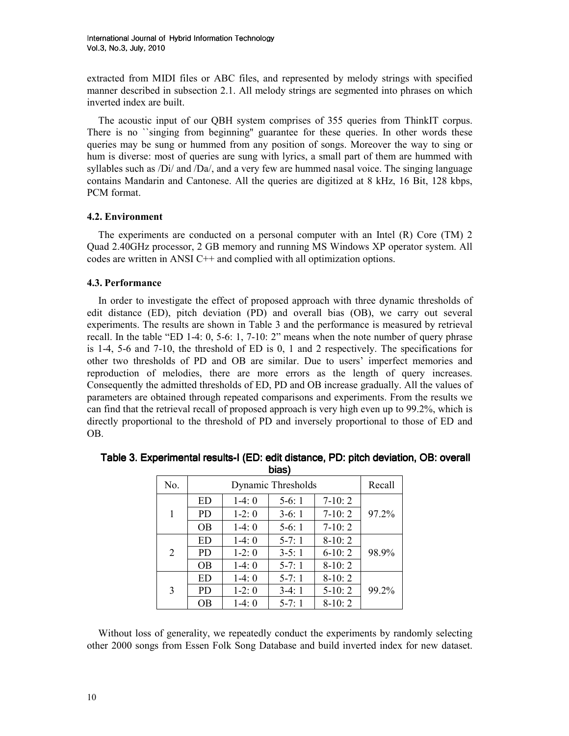extracted from MIDI files or ABC files, and represented by melody strings with specified manner described in subsection 2.1. All melody strings are segmented into phrases on which inverted index are built.

The acoustic input of our QBH system comprises of 355 queries from ThinkIT corpus. There is no ``singing from beginning'' guarantee for these queries. In other words these queries may be sung or hummed from any position of songs. Moreover the way to sing or hum is diverse: most of queries are sung with lyrics, a small part of them are hummed with syllables such as /Di/ and /Da/, and a very few are hummed nasal voice. The singing language contains Mandarin and Cantonese. All the queries are digitized at 8 kHz, 16 Bit, 128 kbps, PCM format.

## 4.2. Environment

The experiments are conducted on a personal computer with an Intel (R) Core (TM) 2 Quad 2.40GHz processor, 2 GB memory and running MS Windows XP operator system. All codes are written in ANSI  $C++$  and complied with all optimization options.

## 4.3. Performance

In order to investigate the effect of proposed approach with three dynamic thresholds of edit distance (ED), pitch deviation (PD) and overall bias (OB), we carry out several experiments. The results are shown in Table 3 and the performance is measured by retrieval recall. In the table "ED 1-4: 0, 5-6: 1, 7-10: 2" means when the note number of query phrase is 1-4, 5-6 and 7-10, the threshold of ED is 0, 1 and 2 respectively. The specifications for other two thresholds of PD and OB are similar. Due to users' imperfect memories and reproduction of melodies, there are more errors as the length of query increases. Consequently the admitted thresholds of ED, PD and OB increase gradually. All the values of parameters are obtained through repeated comparisons and experiments. From the results we can find that the retrieval recall of proposed approach is very high even up to 99.2%, which is directly proportional to the threshold of PD and inversely proportional to those of ED and OB.

| No.            |           | Recall  |         |          |       |
|----------------|-----------|---------|---------|----------|-------|
|                | ED        | $1-4:0$ | $5-6:1$ | $7-10:2$ |       |
| 1              | <b>PD</b> | $1-2:0$ | $3-6:1$ | $7-10:2$ | 97.2% |
|                | <b>OB</b> | $1-4:0$ | $5-6:1$ | $7-10:2$ |       |
| $\overline{2}$ | ED        | $1-4:0$ | $5-7:1$ | $8-10:2$ |       |
|                | <b>PD</b> | $1-2:0$ | $3-5:1$ | $6-10:2$ | 98.9% |
|                | <b>OB</b> | $1-4:0$ | $5-7:1$ | $8-10:2$ |       |
| 3              | ED        | $1-4:0$ | $5-7:1$ | $8-10:2$ |       |
|                | PD.       | $1-2:0$ | $3-4:1$ | $5-10:2$ | 99.2% |
|                | OΒ        | $1-4:0$ | $5-7:1$ | $8-10:2$ |       |

Table 3. Experimental results-I (ED: edit distance, PD: pitch deviation, OB: overall bias)

Without loss of generality, we repeatedly conduct the experiments by randomly selecting other 2000 songs from Essen Folk Song Database and build inverted index for new dataset.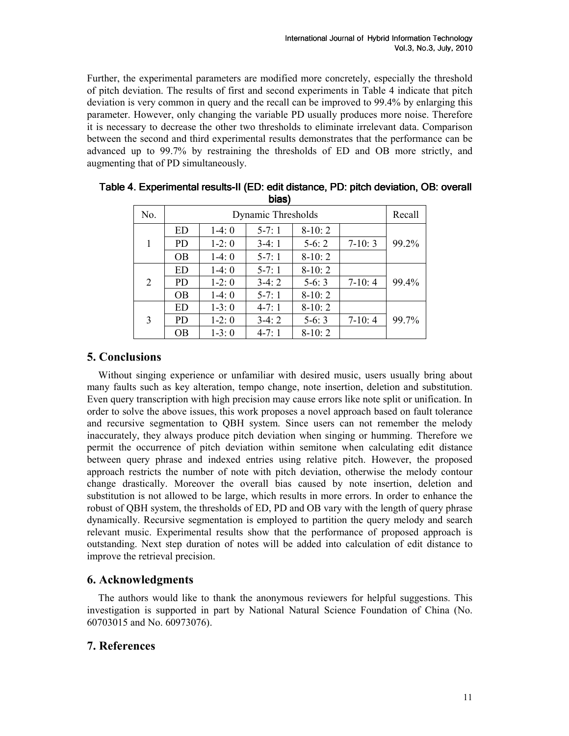Further, the experimental parameters are modified more concretely, especially the threshold of pitch deviation. The results of first and second experiments in Table 4 indicate that pitch deviation is very common in query and the recall can be improved to 99.4% by enlarging this parameter. However, only changing the variable PD usually produces more noise. Therefore it is necessary to decrease the other two thresholds to eliminate irrelevant data. Comparison between the second and third experimental results demonstrates that the performance can be advanced up to 99.7% by restraining the thresholds of ED and OB more strictly, and augmenting that of PD simultaneously.

| No. | Dynamic Thresholds |         |         |          |          | Recall |
|-----|--------------------|---------|---------|----------|----------|--------|
| 1   | ED                 | $1-4:0$ | $5-7:1$ | $8-10:2$ |          |        |
|     | PD                 | $1-2:0$ | $3-4:1$ | $5-6:2$  | $7-10:3$ | 99.2%  |
|     | <b>OB</b>          | $1-4:0$ | $5-7:1$ | $8-10:2$ |          |        |
| 2   | ED                 | $1-4:0$ | $5-7:1$ | $8-10:2$ |          |        |
|     | PD                 | $1-2:0$ | $3-4:2$ | $5-6:3$  | $7-10:4$ | 99.4%  |
|     | <b>OB</b>          | $1-4:0$ | $5-7:1$ | $8-10:2$ |          |        |
| 3   | ED                 | $1-3:0$ | $4-7:1$ | $8-10:2$ |          |        |
|     | PD.                | $1-2:0$ | $3-4:2$ | $5-6:3$  | $7-10:4$ | 99.7%  |
|     | <b>OB</b>          | $1-3:0$ | $4-7:1$ | $8-10:2$ |          |        |

Table 4. Experimental results-II (ED: edit distance, PD: pitch deviation, OB: overall bias)

# 5. Conclusions

Without singing experience or unfamiliar with desired music, users usually bring about many faults such as key alteration, tempo change, note insertion, deletion and substitution. Even query transcription with high precision may cause errors like note split or unification. In order to solve the above issues, this work proposes a novel approach based on fault tolerance and recursive segmentation to QBH system. Since users can not remember the melody inaccurately, they always produce pitch deviation when singing or humming. Therefore we permit the occurrence of pitch deviation within semitone when calculating edit distance between query phrase and indexed entries using relative pitch. However, the proposed approach restricts the number of note with pitch deviation, otherwise the melody contour change drastically. Moreover the overall bias caused by note insertion, deletion and substitution is not allowed to be large, which results in more errors. In order to enhance the robust of QBH system, the thresholds of ED, PD and OB vary with the length of query phrase dynamically. Recursive segmentation is employed to partition the query melody and search relevant music. Experimental results show that the performance of proposed approach is outstanding. Next step duration of notes will be added into calculation of edit distance to improve the retrieval precision.

# 6. Acknowledgments

The authors would like to thank the anonymous reviewers for helpful suggestions. This investigation is supported in part by National Natural Science Foundation of China (No. 60703015 and No. 60973076).

# 7. References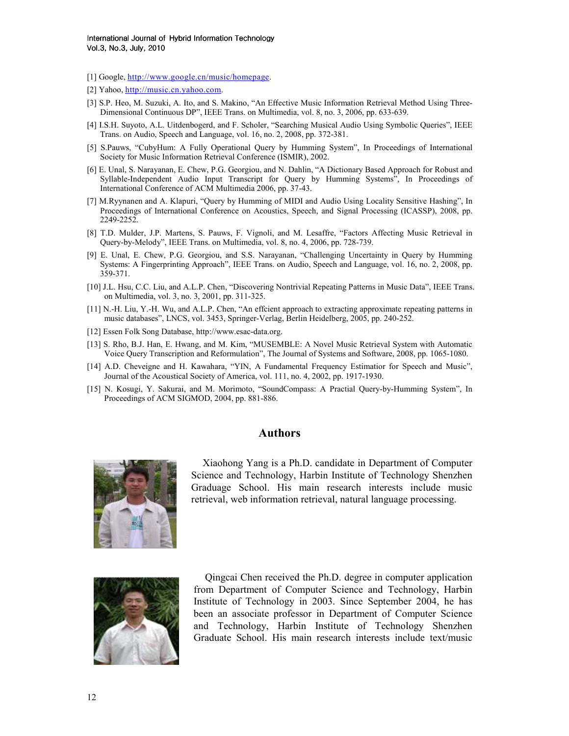- [1] Google, http://www.google.cn/music/homepage.
- [2] Yahoo, http://music.cn.yahoo.com.
- [3] S.P. Heo, M. Suzuki, A. Ito, and S. Makino, "An Effective Music Information Retrieval Method Using Three-Dimensional Continuous DP", IEEE Trans. on Multimedia, vol. 8, no. 3, 2006, pp. 633-639.
- [4] I.S.H. Suyoto, A.L. Uitdenbogerd, and F. Scholer, "Searching Musical Audio Using Symbolic Queries", IEEE Trans. on Audio, Speech and Language, vol. 16, no. 2, 2008, pp. 372-381.
- [5] S.Pauws, "CubyHum: A Fully Operational Query by Humming System", In Proceedings of International Society for Music Information Retrieval Conference (ISMIR), 2002.
- [6] E. Unal, S. Narayanan, E. Chew, P.G. Georgiou, and N. Dahlin, "A Dictionary Based Approach for Robust and Syllable-Independent Audio Input Transcript for Query by Humming Systems", In Proceedings of International Conference of ACM Multimedia 2006, pp. 37-43.
- [7] M.Ryynanen and A. Klapuri, "Query by Humming of MIDI and Audio Using Locality Sensitive Hashing", In Proceedings of International Conference on Acoustics, Speech, and Signal Processing (ICASSP), 2008, pp. 2249-2252.
- [8] T.D. Mulder, J.P. Martens, S. Pauws, F. Vignoli, and M. Lesaffre, "Factors Affecting Music Retrieval in Query-by-Melody", IEEE Trans. on Multimedia, vol. 8, no. 4, 2006, pp. 728-739.
- [9] E. Unal, E. Chew, P.G. Georgiou, and S.S. Narayanan, "Challenging Uncertainty in Query by Humming Systems: A Fingerprinting Approach", IEEE Trans. on Audio, Speech and Language, vol. 16, no. 2, 2008, pp. 359-371.
- [10] J.L. Hsu, C.C. Liu, and A.L.P. Chen, "Discovering Nontrivial Repeating Patterns in Music Data", IEEE Trans. on Multimedia, vol. 3, no. 3, 2001, pp. 311-325.
- [11] N.-H. Liu, Y.-H. Wu, and A.L.P. Chen, "An effcient approach to extracting approximate repeating patterns in music databases", LNCS, vol. 3453, Springer-Verlag, Berlin Heidelberg, 2005, pp. 240-252.
- [12] Essen Folk Song Database, http://www.esac-data.org.
- [13] S. Rho, B.J. Han, E. Hwang, and M. Kim, "MUSEMBLE: A Novel Music Retrieval System with Automatic Voice Query Transcription and Reformulation", The Journal of Systems and Software, 2008, pp. 1065-1080.
- [14] A.D. Cheveigne and H. Kawahara, "YIN, A Fundamental Frequency Estimatior for Speech and Music", Journal of the Acoustical Society of America, vol. 111, no. 4, 2002, pp. 1917-1930.
- [15] N. Kosugi, Y. Sakurai, and M. Morimoto, "SoundCompass: A Practial Query-by-Humming System", In Proceedings of ACM SIGMOD, 2004, pp. 881-886.

## Authors



Xiaohong Yang is a Ph.D. candidate in Department of Computer Science and Technology, Harbin Institute of Technology Shenzhen Graduage School. His main research interests include music retrieval, web information retrieval, natural language processing.



Qingcai Chen received the Ph.D. degree in computer application from Department of Computer Science and Technology, Harbin Institute of Technology in 2003. Since September 2004, he has been an associate professor in Department of Computer Science and Technology, Harbin Institute of Technology Shenzhen Graduate School. His main research interests include text/music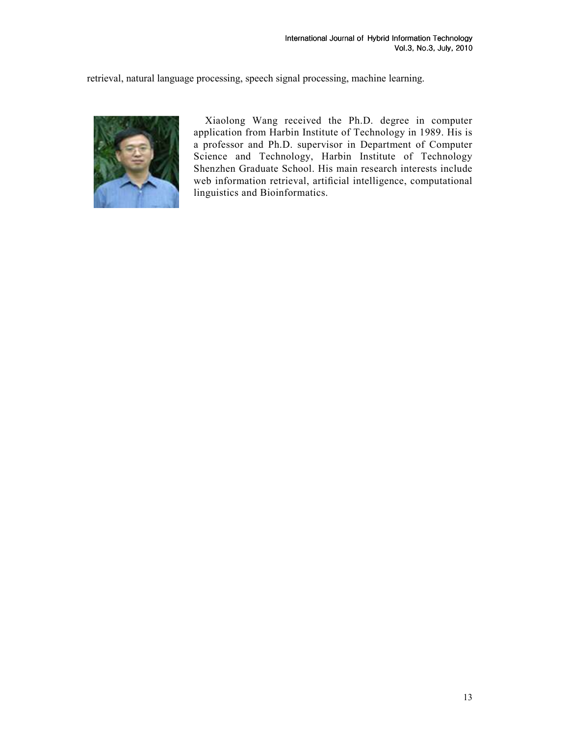retrieval, natural language processing, speech signal processing, machine learning.



Xiaolong Wang received the Ph.D. degree in computer application from Harbin Institute of Technology in 1989. His is a professor and Ph.D. supervisor in Department of Computer Science and Technology, Harbin Institute of Technology Shenzhen Graduate School. His main research interests include web information retrieval, artificial intelligence, computational linguistics and Bioinformatics.